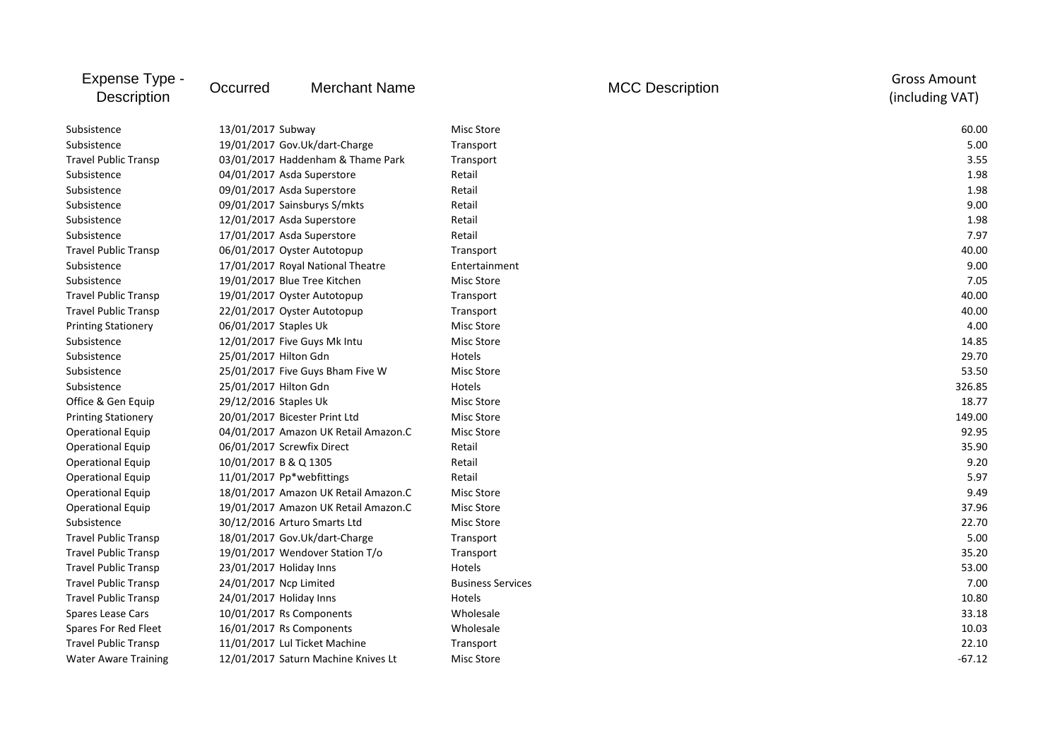| Expense Type -<br>Description | Occurred                          | <b>Merchant Name</b>                 |                          | <b>MCC Description</b> | <b>Gross Amount</b><br>(including VAT) |
|-------------------------------|-----------------------------------|--------------------------------------|--------------------------|------------------------|----------------------------------------|
| Subsistence                   | 13/01/2017 Subway                 |                                      | Misc Store               |                        | 60.00                                  |
| Subsistence                   | 19/01/2017 Gov.Uk/dart-Charge     |                                      | Transport                |                        | 5.00                                   |
| <b>Travel Public Transp</b>   | 03/01/2017 Haddenham & Thame Park |                                      | Transport                |                        | 3.55                                   |
| Subsistence                   | 04/01/2017 Asda Superstore        |                                      | Retail                   |                        | 1.98                                   |
| Subsistence                   | 09/01/2017 Asda Superstore        |                                      | Retail                   |                        | 1.98                                   |
| Subsistence                   | 09/01/2017 Sainsburys S/mkts      |                                      | Retail                   |                        | 9.00                                   |
| Subsistence                   | 12/01/2017 Asda Superstore        |                                      | Retail                   |                        | 1.98                                   |
| Subsistence                   | 17/01/2017 Asda Superstore        |                                      | Retail                   |                        | 7.97                                   |
| <b>Travel Public Transp</b>   |                                   | 06/01/2017 Oyster Autotopup          | Transport                |                        | 40.00                                  |
| Subsistence                   |                                   | 17/01/2017 Royal National Theatre    | Entertainment            |                        | 9.00                                   |
| Subsistence                   | 19/01/2017 Blue Tree Kitchen      |                                      | Misc Store               |                        | 7.05                                   |
| <b>Travel Public Transp</b>   |                                   | 19/01/2017 Oyster Autotopup          | Transport                |                        | 40.00                                  |
| <b>Travel Public Transp</b>   |                                   | 22/01/2017 Oyster Autotopup          | Transport                |                        | 40.00                                  |
| <b>Printing Stationery</b>    | 06/01/2017 Staples Uk             |                                      | Misc Store               |                        | 4.00                                   |
| Subsistence                   | 12/01/2017 Five Guys Mk Intu      |                                      | Misc Store               |                        | 14.85                                  |
| Subsistence                   | 25/01/2017 Hilton Gdn             |                                      | Hotels                   |                        | 29.70                                  |
| Subsistence                   |                                   | 25/01/2017 Five Guys Bham Five W     | Misc Store               |                        | 53.50                                  |
| Subsistence                   | 25/01/2017 Hilton Gdn             |                                      | Hotels                   |                        | 326.85                                 |
| Office & Gen Equip            | 29/12/2016 Staples Uk             |                                      | Misc Store               |                        | 18.77                                  |
| <b>Printing Stationery</b>    | 20/01/2017 Bicester Print Ltd     |                                      | Misc Store               |                        | 149.00                                 |
| <b>Operational Equip</b>      |                                   | 04/01/2017 Amazon UK Retail Amazon.C | Misc Store               |                        | 92.95                                  |
| <b>Operational Equip</b>      | 06/01/2017 Screwfix Direct        |                                      | Retail                   |                        | 35.90                                  |
| <b>Operational Equip</b>      | 10/01/2017 B & Q 1305             |                                      | Retail                   |                        | 9.20                                   |
| <b>Operational Equip</b>      | 11/01/2017 Pp*webfittings         |                                      | Retail                   |                        | 5.97                                   |
| <b>Operational Equip</b>      |                                   | 18/01/2017 Amazon UK Retail Amazon.C | Misc Store               |                        | 9.49                                   |
| <b>Operational Equip</b>      |                                   | 19/01/2017 Amazon UK Retail Amazon.C | Misc Store               |                        | 37.96                                  |
| Subsistence                   |                                   | 30/12/2016 Arturo Smarts Ltd         | Misc Store               |                        | 22.70                                  |
| <b>Travel Public Transp</b>   |                                   | 18/01/2017 Gov.Uk/dart-Charge        | Transport                |                        | 5.00                                   |
| <b>Travel Public Transp</b>   |                                   | 19/01/2017 Wendover Station T/o      | Transport                |                        | 35.20                                  |
| <b>Travel Public Transp</b>   | 23/01/2017 Holiday Inns           |                                      | Hotels                   |                        | 53.00                                  |
| <b>Travel Public Transp</b>   | 24/01/2017 Ncp Limited            |                                      | <b>Business Services</b> |                        | 7.00                                   |
| <b>Travel Public Transp</b>   | 24/01/2017 Holiday Inns           |                                      | Hotels                   |                        | 10.80                                  |
| Spares Lease Cars             | 10/01/2017 Rs Components          |                                      | Wholesale                |                        | 33.18                                  |
| Spares For Red Fleet          | 16/01/2017 Rs Components          |                                      | Wholesale                |                        | 10.03                                  |
| <b>Travel Public Transp</b>   |                                   | 11/01/2017 Lul Ticket Machine        | Transport                |                        | 22.10                                  |
| <b>Water Aware Training</b>   |                                   | 12/01/2017 Saturn Machine Knives Lt  | Misc Store               |                        | $-67.12$                               |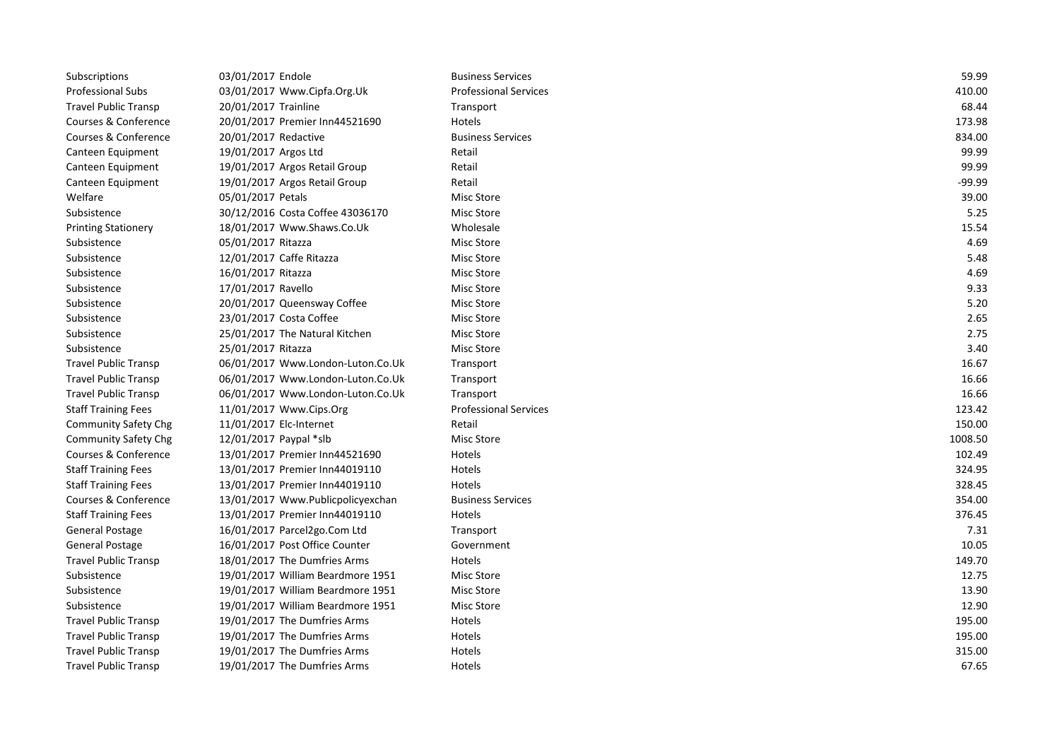| Subscriptions               | 03/01/2017 Endole                 | <b>Business Services</b>     | 59.99   |
|-----------------------------|-----------------------------------|------------------------------|---------|
| <b>Professional Subs</b>    | 03/01/2017 Www.Cipfa.Org.Uk       | <b>Professional Services</b> | 410.00  |
| <b>Travel Public Transp</b> | 20/01/2017 Trainline              | Transport                    | 68.44   |
| Courses & Conference        | 20/01/2017 Premier Inn44521690    | Hotels                       | 173.98  |
| Courses & Conference        | 20/01/2017 Redactive              | <b>Business Services</b>     | 834.00  |
| Canteen Equipment           | 19/01/2017 Argos Ltd              | Retail                       | 99.99   |
| Canteen Equipment           | 19/01/2017 Argos Retail Group     | Retail                       | 99.99   |
| Canteen Equipment           | 19/01/2017 Argos Retail Group     | Retail                       | -99.99  |
| Welfare                     | 05/01/2017 Petals                 | Misc Store                   | 39.00   |
| Subsistence                 | 30/12/2016 Costa Coffee 43036170  | Misc Store                   | 5.25    |
| <b>Printing Stationery</b>  | 18/01/2017 Www.Shaws.Co.Uk        | Wholesale                    | 15.54   |
| Subsistence                 | 05/01/2017 Ritazza                | Misc Store                   | 4.69    |
| Subsistence                 | 12/01/2017 Caffe Ritazza          | Misc Store                   | 5.48    |
| Subsistence                 | 16/01/2017 Ritazza                | Misc Store                   | 4.69    |
| Subsistence                 | 17/01/2017 Ravello                | Misc Store                   | 9.33    |
| Subsistence                 | 20/01/2017 Queensway Coffee       | Misc Store                   | 5.20    |
| Subsistence                 | 23/01/2017 Costa Coffee           | Misc Store                   | 2.65    |
| Subsistence                 | 25/01/2017 The Natural Kitchen    | Misc Store                   | 2.75    |
| Subsistence                 | 25/01/2017 Ritazza                | Misc Store                   | 3.40    |
| <b>Travel Public Transp</b> | 06/01/2017 Www.London-Luton.Co.Uk | Transport                    | 16.67   |
| <b>Travel Public Transp</b> | 06/01/2017 Www.London-Luton.Co.Uk | Transport                    | 16.66   |
| <b>Travel Public Transp</b> | 06/01/2017 Www.London-Luton.Co.Uk | Transport                    | 16.66   |
| <b>Staff Training Fees</b>  | 11/01/2017 Www.Cips.Org           | <b>Professional Services</b> | 123.42  |
| <b>Community Safety Chg</b> | 11/01/2017 Elc-Internet           | Retail                       | 150.00  |
| <b>Community Safety Chg</b> | 12/01/2017 Paypal *slb            | <b>Misc Store</b>            | 1008.50 |
| Courses & Conference        | 13/01/2017 Premier Inn44521690    | Hotels                       | 102.49  |
| <b>Staff Training Fees</b>  | 13/01/2017 Premier Inn44019110    | Hotels                       | 324.95  |
| <b>Staff Training Fees</b>  | 13/01/2017 Premier Inn44019110    | Hotels                       | 328.45  |
| Courses & Conference        | 13/01/2017 Www.Publicpolicyexchan | <b>Business Services</b>     | 354.00  |
| <b>Staff Training Fees</b>  | 13/01/2017 Premier Inn44019110    | Hotels                       | 376.45  |
| <b>General Postage</b>      | 16/01/2017 Parcel2go.Com Ltd      | Transport                    | 7.31    |
| <b>General Postage</b>      | 16/01/2017 Post Office Counter    | Government                   | 10.05   |
| <b>Travel Public Transp</b> | 18/01/2017 The Dumfries Arms      | Hotels                       | 149.70  |
| Subsistence                 | 19/01/2017 William Beardmore 1951 | <b>Misc Store</b>            | 12.75   |
| Subsistence                 | 19/01/2017 William Beardmore 1951 | Misc Store                   | 13.90   |
| Subsistence                 | 19/01/2017 William Beardmore 1951 | <b>Misc Store</b>            | 12.90   |
| <b>Travel Public Transp</b> | 19/01/2017 The Dumfries Arms      | Hotels                       | 195.00  |
| <b>Travel Public Transp</b> | 19/01/2017 The Dumfries Arms      | Hotels                       | 195.00  |
| <b>Travel Public Transp</b> | 19/01/2017 The Dumfries Arms      | Hotels                       | 315.00  |
| <b>Travel Public Transp</b> | 19/01/2017 The Dumfries Arms      | Hotels                       | 67.65   |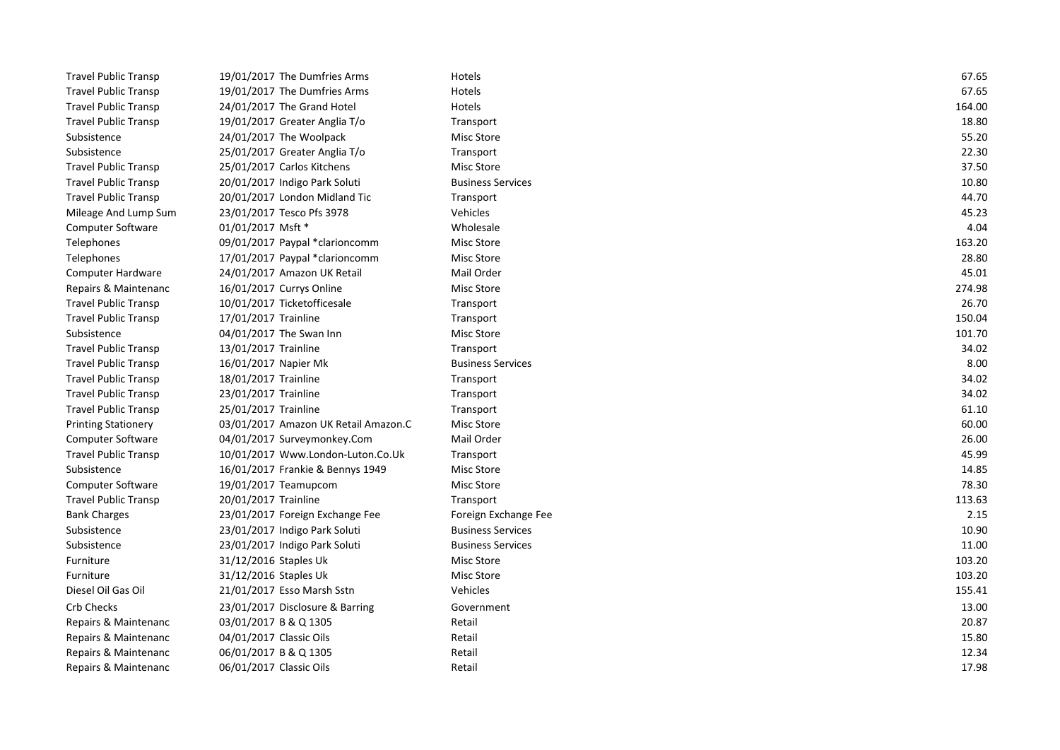| <b>Travel Public Transp</b> | 19/01/2017 The Dumfries Arms         | Hotels                   | 67.65  |
|-----------------------------|--------------------------------------|--------------------------|--------|
| <b>Travel Public Transp</b> | 19/01/2017 The Dumfries Arms         | Hotels                   | 67.65  |
| <b>Travel Public Transp</b> | 24/01/2017 The Grand Hotel           | Hotels                   | 164.00 |
| <b>Travel Public Transp</b> | 19/01/2017 Greater Anglia T/o        | Transport                | 18.80  |
| Subsistence                 | 24/01/2017 The Woolpack              | Misc Store               | 55.20  |
| Subsistence                 | 25/01/2017 Greater Anglia T/o        | Transport                | 22.30  |
| <b>Travel Public Transp</b> | 25/01/2017 Carlos Kitchens           | Misc Store               | 37.50  |
| <b>Travel Public Transp</b> | 20/01/2017 Indigo Park Soluti        | <b>Business Services</b> | 10.80  |
| <b>Travel Public Transp</b> | 20/01/2017 London Midland Tic        | Transport                | 44.70  |
| Mileage And Lump Sum        | 23/01/2017 Tesco Pfs 3978            | Vehicles                 | 45.23  |
| <b>Computer Software</b>    | 01/01/2017 Msft *                    | Wholesale                | 4.04   |
| Telephones                  | 09/01/2017 Paypal *clarioncomm       | Misc Store               | 163.20 |
| Telephones                  | 17/01/2017 Paypal *clarioncomm       | Misc Store               | 28.80  |
| Computer Hardware           | 24/01/2017 Amazon UK Retail          | Mail Order               | 45.01  |
| Repairs & Maintenanc        | 16/01/2017 Currys Online             | Misc Store               | 274.98 |
| <b>Travel Public Transp</b> | 10/01/2017 Ticketofficesale          | Transport                | 26.70  |
| <b>Travel Public Transp</b> | 17/01/2017 Trainline                 | Transport                | 150.04 |
| Subsistence                 | 04/01/2017 The Swan Inn              | Misc Store               | 101.70 |
| <b>Travel Public Transp</b> | 13/01/2017 Trainline                 | Transport                | 34.02  |
| <b>Travel Public Transp</b> | 16/01/2017 Napier Mk                 | <b>Business Services</b> | 8.00   |
| <b>Travel Public Transp</b> | 18/01/2017 Trainline                 | Transport                | 34.02  |
| <b>Travel Public Transp</b> | 23/01/2017 Trainline                 | Transport                | 34.02  |
| <b>Travel Public Transp</b> | 25/01/2017 Trainline                 | Transport                | 61.10  |
| <b>Printing Stationery</b>  | 03/01/2017 Amazon UK Retail Amazon.C | Misc Store               | 60.00  |
| <b>Computer Software</b>    | 04/01/2017 Surveymonkey.Com          | Mail Order               | 26.00  |
| <b>Travel Public Transp</b> | 10/01/2017 Www.London-Luton.Co.Uk    | Transport                | 45.99  |
| Subsistence                 | 16/01/2017 Frankie & Bennys 1949     | Misc Store               | 14.85  |
| <b>Computer Software</b>    | 19/01/2017 Teamupcom                 | Misc Store               | 78.30  |
| <b>Travel Public Transp</b> | 20/01/2017 Trainline                 | Transport                | 113.63 |
| <b>Bank Charges</b>         | 23/01/2017 Foreign Exchange Fee      | Foreign Exchange Fee     | 2.15   |
| Subsistence                 | 23/01/2017 Indigo Park Soluti        | <b>Business Services</b> | 10.90  |
| Subsistence                 | 23/01/2017 Indigo Park Soluti        | <b>Business Services</b> | 11.00  |
| Furniture                   | 31/12/2016 Staples Uk                | Misc Store               | 103.20 |
| Furniture                   | 31/12/2016 Staples Uk                | Misc Store               | 103.20 |
| Diesel Oil Gas Oil          | 21/01/2017 Esso Marsh Sstn           | Vehicles                 | 155.41 |
| <b>Crb Checks</b>           | 23/01/2017 Disclosure & Barring      | Government               | 13.00  |
| Repairs & Maintenanc        | 03/01/2017 B & Q 1305                | Retail                   | 20.87  |
| Repairs & Maintenanc        | 04/01/2017 Classic Oils              | Retail                   | 15.80  |
| Repairs & Maintenanc        | 06/01/2017 B & Q 1305                | Retail                   | 12.34  |
| Repairs & Maintenanc        | 06/01/2017 Classic Oils              | Retail                   | 17.98  |
|                             |                                      |                          |        |